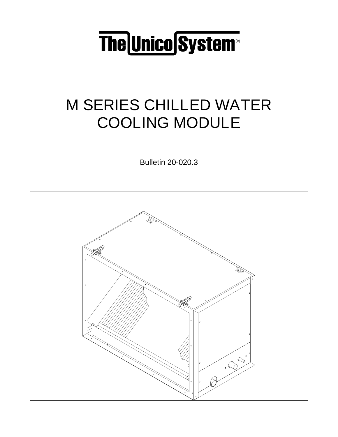# The Unico System®

## M SERIES CHILLED WATER COOLING MODULE

Bulletin 20-020.3

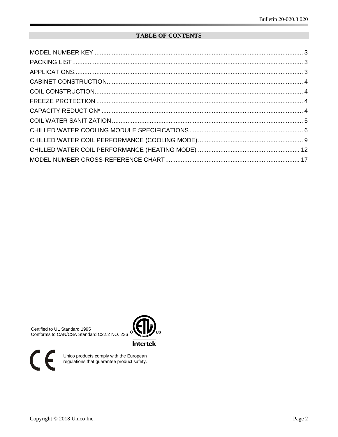### **TABLE OF CONTENTS**

Certified to UL Standard 1995 Conforms to CAN/CSA Standard C22.2 NO. 236 C



 $Cf$ 

Unico products comply with the European<br>regulations that guarantee product safety.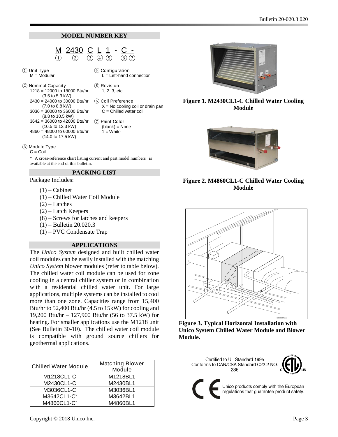#### <span id="page-2-0"></span>**MODEL NUMBER KEY**

<u>M\_2430 C L 1 - C -</u>  $(1)$   $(2)$   $(3)$   $(4)$   $(5)$   $(6)$   $(7)$ 

\* A cross-reference chart listing current and past model numbers is

(1) – Chilled Water Coil Module

(8) – Screws for latches and keepers

**PACKING LIST**

<span id="page-2-2"></span>**APPLICATIONS** The *Unico System* designed and built chilled water coil modules can be easily installed with the matching *Unico System* blower modules (refer to table below). The chilled water coil module can be used for zone cooling in a central chiller system or in combination with a residential chilled water unit. For large applications, multiple systems can be installed to cool more than one zone. Capacities range from 15,400 Btu/hr to 52,400 Btu/hr (4.5 to 15kW) for cooling and 19,200 Btu/hr – 127,900 Btu/hr (56 to 37.5 kW) for heating. For smaller applications use the M1218 unit (See Bulletin 30-10). The chilled water coil module is compatible with ground source chillers for

Chilled Water Module Matching Blower

M1218CL1-C M1218BL1 M2430CL1-C M2430BL1 M3036CL1-C | M3036BL1 M3642CL1-C\* M3642BL1 M4860CL1-C\* M4860BL1

Module

- ① Unit Type
- $M = Modular$

③ Module Type  $C = \text{Coil}$ 

② Nominal Capacity 1218 = 12000 to 18000 Btu/hr (3.5 to 5.3 kW) 2430 = 24000 to 30000 Btu/hr (7.0 to 8.8 kW) 3036 = 30000 to 36000 Btu/hr (8.8 to 10.5 kW) 3642 = 36000 to 42000 Btu/hr (10.5 to 12.3 kW) 4860 = 48000 to 60000 Btu/hr (14.0 to 17.5 kW)

available at the end of this bulletin.

<span id="page-2-1"></span>Package Includes:

 $(1)$  – Cabinet

 $(2)$  – Latches (2) – Latch Keepers

(1) – Bulletin 20.020.3 (1) – PVC Condensate Trap

- ④ Configuration  $L = Left$ -hand connection
- ⑤ Revision 1, 2, 3, etc.
- ⑥ Coil Preference  $X = No$  cooling coil or drain pan C = Chilled water coil
- ⑦ Paint Color (blank) = None  $1 =$  White



**Figure 1. M2430CL1-C Chilled Water Cooling Module**



**Figure 2. M4860CL1-C Chilled Water Cooling Module**



**Figure 3. Typical Horizontal Installation with Unico System Chilled Water Module and Blower Module.**



geothermal applications.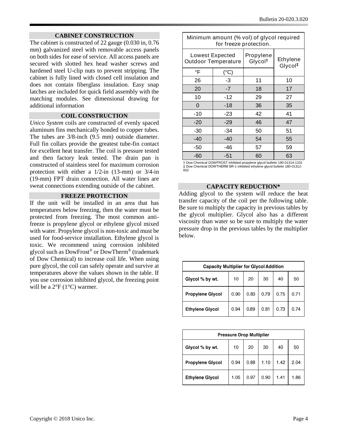#### **CABINET CONSTRUCTION**

<span id="page-3-0"></span>The cabinet is constructed of 22 gauge (0.030 in, 0.76 mm) galvanized steel with removable access panels on both sides for ease of service. All access panels are secured with slotted hex head washer screws and hardened steel U-clip nuts to prevent stripping. The cabinet is fully lined with closed cell insulation and does not contain fiberglass insulation. Easy snap latches are included for quick field assembly with the matching modules. See dimensional drawing for additional information

#### **COIL CONSTRUCTION**

<span id="page-3-1"></span>*Unico System* coils are constructed of evenly spaced aluminum fins mechanically bonded to copper tubes. The tubes are 3/8-inch (9.5 mm) outside diameter. Full fin collars provide the greatest tube-fin contact for excellent heat transfer. The coil is pressure tested and then factory leak tested. The drain pan is constructed of stainless steel for maximum corrosion protection with either a 1/2-in (13-mm) or 3/4-in (19-mm) FPT drain connection. All water lines are sweat connections extending outside of the cabinet.

#### **FREEZE PROTECTION**

<span id="page-3-2"></span>If the unit will be installed in an area that has temperatures below freezing, then the water must be protected from freezing. The most common antifreeze is propylene glycol or ethylene glycol mixed with water. Propylene glycol is non-toxic and must be used for food-service installation. Ethylene glycol is toxic. We recommend using corrosion inhibited glycol such as DowFrost® or DowTherm® (trademark of Dow Chemical) to increase coil life. When using pure glycol, the coil can safely operate and survive at temperatures above the values shown in the table. If you use corrosion inhibited glycol, the freezing point will be a 2°F (1°C) warmer.

| Minimum amount (% vol) of glycol required<br>for freeze protection. |                                                                                                                      |    |    |  |  |  |  |  |  |  |  |  |  |
|---------------------------------------------------------------------|----------------------------------------------------------------------------------------------------------------------|----|----|--|--|--|--|--|--|--|--|--|--|
|                                                                     | Propylene<br>Lowest Expected<br>Ethylene<br>Glycol <sup>+</sup><br><b>Outdoor Temperature</b><br>Glycol <sup>#</sup> |    |    |  |  |  |  |  |  |  |  |  |  |
| °F                                                                  | (°C)                                                                                                                 |    |    |  |  |  |  |  |  |  |  |  |  |
| 26                                                                  | -3                                                                                                                   | 11 | 10 |  |  |  |  |  |  |  |  |  |  |
| 20                                                                  | $-7$                                                                                                                 | 18 | 17 |  |  |  |  |  |  |  |  |  |  |
| 10                                                                  | -12                                                                                                                  | 29 | 27 |  |  |  |  |  |  |  |  |  |  |
| 0                                                                   | $-18$                                                                                                                | 36 | 35 |  |  |  |  |  |  |  |  |  |  |
| $-10$                                                               | -23                                                                                                                  | 42 | 41 |  |  |  |  |  |  |  |  |  |  |
| $-20$                                                               | $-29$                                                                                                                | 46 | 47 |  |  |  |  |  |  |  |  |  |  |
| -30                                                                 | $-34$                                                                                                                | 50 | 51 |  |  |  |  |  |  |  |  |  |  |
| $-40$                                                               | $-40$                                                                                                                | 54 | 55 |  |  |  |  |  |  |  |  |  |  |
| -50                                                                 | 57<br>-46<br>59                                                                                                      |    |    |  |  |  |  |  |  |  |  |  |  |
| -60                                                                 | $-51$                                                                                                                | 60 | 63 |  |  |  |  |  |  |  |  |  |  |

† Dow Chemical DOWFROST inhibited propylene glycol bulletin 180-01314-1101 ‡ Dow Chemical DOWTHERM SR-1 inhibited ethylene glycol bulletin 180-01312- 602

#### **CAPACITY REDUCTION\***

<span id="page-3-3"></span>Adding glycol to the system will reduce the heat transfer capacity of the coil per the following table. Be sure to multiply the capacity in previous tables by the glycol multiplier. Glycol also has a different viscosity than water so be sure to multiply the water pressure drop in the previous tables by the multiplier below.

| <b>Capacity Multiplier for Glycol Addition</b> |      |      |      |      |      |  |  |  |  |  |  |  |
|------------------------------------------------|------|------|------|------|------|--|--|--|--|--|--|--|
| Glycol % by wt.                                | 10   | 20   | 30   | 40   | 50   |  |  |  |  |  |  |  |
| <b>Propylene Glycol</b>                        | 0.90 | 0.83 | 0.79 | 0.75 | 0.71 |  |  |  |  |  |  |  |
| <b>Ethylene Glycol</b>                         | 0.94 | 0.89 | 0.81 | 0.73 | 0.74 |  |  |  |  |  |  |  |

| <b>Pressure Drop Multiplier</b> |      |      |      |      |      |  |  |  |  |  |  |  |
|---------------------------------|------|------|------|------|------|--|--|--|--|--|--|--|
| Glycol % by wt.                 | 10   | 20   | 30   | 40   | 50   |  |  |  |  |  |  |  |
| <b>Propylene Glycol</b>         | 0.94 | 0.88 | 1.10 | 1.42 | 2.04 |  |  |  |  |  |  |  |
| <b>Ethylene Glycol</b>          | 1.05 | 0.97 | 0.90 | 1.41 | 1.86 |  |  |  |  |  |  |  |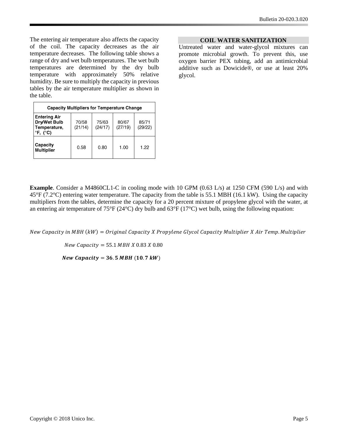The entering air temperature also affects the capacity of the coil. The capacity decreases as the air temperature decreases. The following table shows a range of dry and wet bulb temperatures. The wet bulb temperatures are determined by the dry bulb temperature with approximately 50% relative humidity. Be sure to multiply the capacity in previous tables by the air temperature multiplier as shown in the table.

| <b>Capacity Multipliers for Temperature Change</b>                                        |                  |                  |                  |                  |  |  |  |  |  |  |  |  |
|-------------------------------------------------------------------------------------------|------------------|------------------|------------------|------------------|--|--|--|--|--|--|--|--|
| <b>Entering Air</b><br>Dry/Wet Bulb<br>Temperature,<br>$\mathrm{P}F, \mathrm{C}^{\circ}C$ | 70/58<br>(21/14) | 75/63<br>(24/17) | 80/67<br>(27/19) | 85/71<br>(29/22) |  |  |  |  |  |  |  |  |
| Capacity<br><b>Multiplier</b>                                                             | 0.58             | 0.80             | 1.00             | 1.22             |  |  |  |  |  |  |  |  |

#### **COIL WATER SANITIZATION**

<span id="page-4-0"></span>Untreated water and water-glycol mixtures can promote microbial growth. To prevent this, use oxygen barrier PEX tubing, add an antimicrobial additive such as Dowicide®, or use at least 20% glycol.

**Example**. Consider a M4860CL1-C in cooling mode with 10 GPM (0.63 L/s) at 1250 CFM (590 L/s) and with 45°F (7.2°C) entering water temperature. The capacity from the table is 55.1 MBH (16.1 kW). Using the capacity multipliers from the tables, determine the capacity for a 20 percent mixture of propylene glycol with the water, at an entering air temperature of 75°F (24°C) dry bulb and 63°F (17°C) wet bulb, using the following equation:

New Capacity in MBH  $(kW) = Original Capacity X Propylene Glycol Capacity Multiplier X Air Temp. Multiplier$ 

 $New Capacity = 55.1 \, MBH \, X \, 0.83 \, X \, 0.80$ 

**New Capacity = 36.5 MBH (10.7 kW)**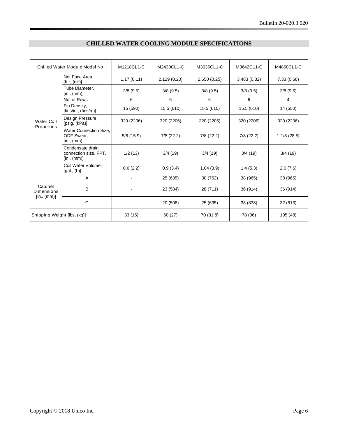|                                 | Chilled Water Module Model No.                                  | M1218CL1-C     | M2430CL1-C   | M3036CL1-C   | M3642CL1-C   | M4860CL1-C     |
|---------------------------------|-----------------------------------------------------------------|----------------|--------------|--------------|--------------|----------------|
|                                 | Net Face Area.<br>[ft. <sup>2</sup> , $(m2)$ ]                  | 1.17(0.11)     | 2.129(0.20)  | 2.650(0.25)  | 3.483(0.32)  | 7.33(0.68)     |
|                                 | Tube Diameter.<br>$[$ in., $(mm)]$                              | 3/8(9.5)       | 3/8(9.5)     | 3/8(9.5)     | 3/8(9.5)     | 3/8(9.5)       |
| <b>Water Coil</b><br>Properties | No. of Rows                                                     | 6              | 6            | 6            | 6            | 4              |
|                                 | Fin Density,<br>[fins/in., (fins/m)]                            | 15 (590)       | 15.5 (610)   | 15.5 (610)   | 15.5 (610)   | 14 (550)       |
|                                 | Design Pressure,<br>[psig, (kPa)]                               | 320 (2206)     | 320 (2206)   | 320 (2206)   | 320 (2206)   | 320 (2206)     |
|                                 | <b>Water Connection Size.</b><br>ODF Sweat,<br>$[$ in., $(mm)]$ | 5/8(15.9)      | $7/8$ (22.2) | $7/8$ (22.2) | $7/8$ (22.2) | $1-1/8$ (28.5) |
|                                 | Condensate drain<br>connection size, FPT,<br>$[$ in., $(mm)]$   | 1/2(13)        | 3/4(19)      | 3/4(19)      | 3/4(19)      | 3/4(19)        |
|                                 | Coil Water Volume,<br>[gal., (L)]                               | 0.6(2.2)       | 0.9(3.4)     | 1.04(3.9)    | 1.4(5.3)     | 2.0(7.6)       |
|                                 | A                                                               | $\blacksquare$ | 25 (635)     | 30 (762)     | 38 (965)     | 38 (965)       |
| Cabinet<br>Dimensions           | B                                                               |                | 23 (584)     | 28 (711)     | 36 (914)     | 36 (914)       |
| [in., (mm)]                     | C                                                               |                | 20 (508)     | 25 (635)     | 33 (838)     | 32 (813)       |
| Shipping Weight [lbs, (kg)]     |                                                                 | 33(15)         | 60(27)       | 70 (31.8)    | 78 (36)      | 105(48)        |

## <span id="page-5-0"></span>**CHILLED WATER COOLING MODULE SPECIFICATIONS**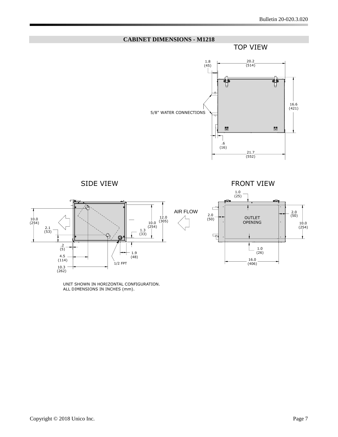

UNIT SHOWN IN HORIZONTAL CONFIGURATION. ALL DIMENSIONS IN INCHES (mm).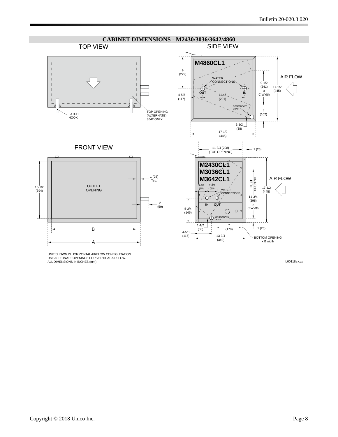

UNIT SHOWN IN HORIZONTALAIRFLOW CONFIGURATION USE ALTERNATE OPENINGS FOR VERTICALAIRFLOW. ALL DIMENSIONS IN INCHES (mm).

IL00118e.cvx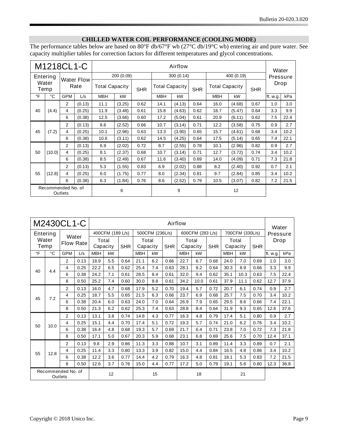### <span id="page-8-0"></span>**CHILLED WATER COIL PERFORMANCE (COOLING MODE)**

The performance tables below are based on 80°F db/67°F wb (27°C db/19°C wb) entering air and pure water. See capacity multiplier tables for correction factors for different temperatures and glycol concentrations.

|           |                               | M1218CL1-C     |                           |                       |            |            |                       | Airflow    |            |                       |            | Water      |          |      |
|-----------|-------------------------------|----------------|---------------------------|-----------------------|------------|------------|-----------------------|------------|------------|-----------------------|------------|------------|----------|------|
|           | Entering                      |                |                           |                       | 200 (0.09) |            |                       | 300 (0.14) |            |                       | 400 (0.19) |            | Pressure |      |
|           | Water<br>Temp                 |                | <b>Water Flow</b><br>Rate | <b>Total Capacity</b> |            | <b>SHR</b> | <b>Total Capacity</b> |            | <b>SHR</b> | <b>Total Capacity</b> |            | <b>SHR</b> | Drop     |      |
| $\circ$ F | $^{\circ}$ C                  | <b>GPM</b>     | L/s                       | <b>MBH</b>            | kW         |            | <b>MBH</b>            | kW         |            | <b>MBH</b>            | kW         |            | ft. w.g. | kPa  |
|           | 2<br>40<br>(4.4)<br>4<br>6    |                | (0.13)                    | 11.1                  | (3.25)     | 0.62       | 14.1                  | (4.13)     | 0.64       | 16.0                  | (4.68)     | 0.67       | 1.0      | 3.0  |
|           |                               |                | (0.25)                    | 11.9                  | (3.48)     | 0.61       | 15.8                  | (4.63)     | 0.62       | 18.7                  | (5.47)     | 0.64       | 3.3      | 9.9  |
|           |                               |                | (0.38)                    | 12.5                  | (3.66)     | 0.60       | 17.2                  | (5.04)     | 0.61       | 20.9                  | (6.11)     | 0.62       | 7.5      | 22.4 |
|           |                               | 2              | (0.13)                    | 8.6                   | (2.52)     | 0.66       | 10.7                  | (3.14)     | 0.71       | 12.2                  | (3.58)     | 0.75       | 0.9      | 2.7  |
| 45        | (7.2)                         | 4              | (0.25)                    | 10.1                  | (2.96)     | 0.63       | 13.3                  | (3.90)     | 0.65       | 15.7                  | (4.61)     | 0.68       | 3.4      | 10.2 |
|           |                               | 6              | (0.38)                    | 10.6                  | (3.11)     | 0.62       | 14.5                  | (4.25)     | 0.64       | 17.5                  | (5.14)     | 0.65       | 7.4      | 22.1 |
|           |                               | $\overline{2}$ | (0.13)                    | 6.9                   | (2.02)     | 0.72       | 8.7                   | (2.55)     | 0.78       | 10.1                  | (2.96)     | 0.82       | 0.9      | 2.7  |
| 50        | (10.0)                        | 4              | (0.25)                    | 8.1                   | (2.37)     | 0.68       | 10.7                  | (3.14)     | 0.71       | 12.7                  | (3.72)     | 0.74       | 3.4      | 10.2 |
|           |                               | 6              | (0.38)                    | 8.5                   | (2.49)     | 0.67       | 11.6                  | (3.40)     | 0.69       | 14.0                  | (4.09)     | 0.71       | 7.3      | 21.8 |
|           |                               | 2              | (0.13)                    | 5.3                   | (1.55)     | 0.83       | 6.9                   | (2.02)     | 0.88       | 8.2                   | (2.40)     | 0.92       | 0.7      | 2.1  |
| 55        | (12.8)                        |                | (0.25)                    | 6.0                   | (1.75)     | 0.77       | 8.0                   | (2.34)     | 0.81       | 9.7                   | (2.84)     | 0.85       | 3.4      | 10.2 |
|           | 6<br>(0.38)                   |                |                           | 6.3                   | (1.84)     | 0.76       | 8.6                   | (2.52)     | 0.79       | 10.5                  | (3.07)     | 0.82       | 7.2      | 21.5 |
|           | Recommended No. of<br>Outlets |                |                           |                       | 6          |            |                       | 9          |            |                       | 12         |            |          |      |

|            |               | M2430CL1-C                    |                           |            |                  |            |            |                 | Airflow    |                   |                  |            |            |                   |            | Water    |      |
|------------|---------------|-------------------------------|---------------------------|------------|------------------|------------|------------|-----------------|------------|-------------------|------------------|------------|------------|-------------------|------------|----------|------|
|            | Entering      |                               |                           |            | 400CFM (189 L/s) |            |            | 500CFM (236L/s) |            |                   | 600CFM (283 L/s) |            |            | 700CFM (330L/s)   |            | Pressure |      |
|            | Water<br>Temp |                               | Water<br><b>Flow Rate</b> | Total      | Capacity         | <b>SHR</b> | Total      | Capacity        | <b>SHR</b> | Total<br>Capacity |                  | <b>SHR</b> |            | Total<br>Capacity | <b>SHR</b> | Drop     |      |
| $\circ$ F  | °C            | <b>GPM</b>                    | L/s                       | <b>MBH</b> | kW               |            | <b>MBH</b> | kW              |            | <b>MBH</b>        | kW               |            | <b>MBH</b> | kW                |            | ft. w.g. | kPa  |
|            |               | 2                             | 0.13                      | 18.9       | 5.5              | 0.64       | 21.1       | 6.2             | 0.66       | 22.7              | 6.7              | 0.68       | 24.0       | 7.0               | 0.69       | 1.0      | 3.0  |
| 40         | 4.4           | 4                             | 0.25                      | 22.2       | 6.5              | 0.62       | 25.4       | 7.4             | 0.63       | 28.1              | 8.2              | 0.64       | 30.3       | 8.9               | 0.66       | 3.3      | 9.9  |
|            |               | 6                             | 0.38                      | 24.2       | 7.1              | 0.61       | 28.5       | 8.4             | 0.61       | 32.0              | 9.4              | 0.62       | 35.1       | 10.3              | 0.63       | 7.5      | 22.4 |
|            |               | 8                             | 0.50                      | 25.2       | 7.4              | 0.60       | 30.0       | 8.8             | 0.61       | 34.2              | 10.0             | 0.61       | 37.9       | 11.1              | 0.62       | 12.7     | 37.9 |
|            |               | $\overline{2}$                | 0.13                      | 16.0       | 4.7              | 0.68       | 17.9       | 5.2             | 0.70       | 19.4              | 5.7              | 0.72       | 20.7       | 6.1               | 0.74       | 0.9      | 2.7  |
| 45         | 7.2           | 4                             | 0.25                      | 18.7       | 5.5              | 0.65       | 21.5       | 6.3             | 0.66       | 23.7              | 6.9              | 0.68       | 25.7       | 7.5               | 0.70       | 3.4      | 10.2 |
|            |               | 6                             | 0.38                      | 20.4       | 6.0              | 0.63       | 24.0       | 7.0             | 0.64       | 26.9              | 7.9              | 0.65       | 29.5       | 8.6               | 0.66       | 7.4      | 22.1 |
|            |               | 8                             | 0.50                      | 21.3       | 6.2              | 0.62       | 25.3       | 7.4             | 0.63       | 28.8              | 8.4              | 0.64       | 31.9       | 9.3               | 0.65       | 12.6     | 37.6 |
|            |               | $\overline{2}$                | 0.13                      | 13.1       | 3.8              | 0.74       | 14.8       | 4.3             | 0.77       | 16.3              | 4.8              | 0.79       | 17.4       | 5.1               | 0.80       | 0.9      | 2.7  |
| 50         | 10.0          | 4                             | 0.25                      | 15.1       | 4.4              | 0.70       | 17.4       | 5.1             | 0.72       | 19.3              | 5.7              | 0.74       | 21.0       | 6.2               | 0.76       | 3.4      | 10.2 |
|            |               | 6                             | 0.38                      | 16.4       | 4.8              | 0.68       | 19.3       | 5.7             | 0.69       | 21.7              | 6.4              | 0.71       | 23.8       | 7.0               | 0.72       | 7.3      | 21.8 |
|            |               | 8                             | 0.50                      | 17.1       | 5.0              | 0.67       | 20.3       | 5.9             | 0.68       | 23.1              | 6.8              | 0.69       | 25.6       | 7.5               | 0.70       | 12.4     | 37.1 |
|            |               | 2                             | 0.13                      | 9.8        | 2.9              | 0.86       | 11.3       | 3.3             | 0.88       | 10.7              | 3.1              | 0.89       | 11.4       | 3.3               | 0.89       | 0.7      | 2.1  |
|            |               | 4                             | 0.25                      | 11.4       | 3.3              | 0.80       | 13.3       | 3.9             | 0.82       | 15.0              | 4.4              | 0.84       | 16.5       | 4.8               | 0.86       | 3.4      | 10.2 |
| 55<br>12.8 |               | 6                             | 0.38                      | 12.2       | 3.6              | 0.77       | 14.4       | 4.2             | 0.79       | 16.3              | 4.8              | 0.81       | 18.1       | 5.3               | 0.83       | 7.2      | 21.5 |
|            |               | 8                             | 0.50                      | 12.6       | 3.7              | 0.76       | 15.0       | 4.4             | 0.77       | 17.2              | 5.0              | 0.79       | 19.1       | 5.6               | 0.80       | 12.3     | 36.8 |
|            |               | Recommended No. of<br>Outlets |                           |            | 12               |            |            | 15              |            |                   | 18               |            |            | 21                |            |          |      |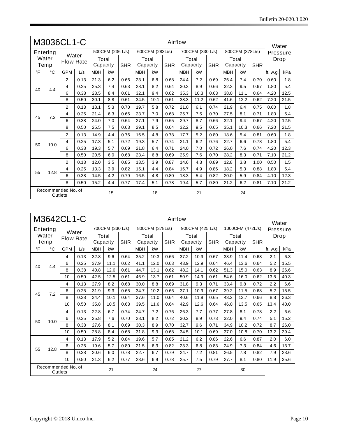|           |                               | M3036CL1-C     |                           |                   |                  |            |                   |                 | Airflow    |                   |                  |            |                   |                 |            | Water    |      |
|-----------|-------------------------------|----------------|---------------------------|-------------------|------------------|------------|-------------------|-----------------|------------|-------------------|------------------|------------|-------------------|-----------------|------------|----------|------|
|           | Entering                      |                |                           |                   | 500CFM (236 L/s) |            |                   | 600CFM (283L/s) |            |                   | 700CFM (330 L/s) |            |                   | 800CFM (378L/s) |            | Pressure |      |
| Water     | Temp                          |                | Water<br><b>Flow Rate</b> | Total<br>Capacity |                  | <b>SHR</b> | Total<br>Capacity |                 | <b>SHR</b> | Total<br>Capacity |                  | <b>SHR</b> | Total<br>Capacity |                 | <b>SHR</b> | Drop     |      |
| $\circ$ F | °C                            | <b>GPM</b>     | L/s                       | <b>MBH</b>        | kW               |            | <b>MBH</b>        | kW              |            | <b>MBH</b>        | kW               |            | <b>MBH</b>        | kW              |            | ft. w.g. | kPa  |
|           |                               | $\overline{2}$ | 0.13                      | 21.3              | 6.2              | 0.66       | 23.1              | 6.8             | 0.68       | 24.4              | 7.2              | 0.69       | 25.4              | 7.4             | 0.70       | 0.60     | 1.8  |
| 40        | 4.4                           | 4              | 0.25                      | 25.3              | 7.4              | 0.63       | 28.1              | 8.2             | 0.64       | 30.3              | 8.9              | 0.66       | 32.3              | 9.5             | 0.67       | 1.80     | 5.4  |
|           |                               | 6              | 0.38                      | 28.5              | 8.4              | 0.61       | 32.1              | 9.4             | 0.62       | 35.3              | 10.3             | 0.63       | 38.0              | 11.1            | 0.64       | 4.20     | 12.5 |
|           |                               | 8              | 0.50                      | 30.1              | 8.8              | 0.61       | 34.5              | 10.1            | 0.61       | 38.3              | 11.2             | 0.62       | 41.6              | 12.2            | 0.62       | 7.20     | 21.5 |
|           |                               | $\overline{2}$ | 0.13                      | 18.1              | 5.3              | 0.70       | 19.7              | 5.8             | 0.72       | 21.0              | 6.1              | 0.74       | 21.9              | 6.4             | 0.75       | 0.60     | 1.8  |
| 45        | 7.2                           | 4              | 0.25                      | 21.4              | 6.3              | 0.66       | 23.7              | 7.0             | 0.68       | 25.7              | 7.5              | 0.70       | 27.5              | 8.1             | 0.71       | 1.80     | 5.4  |
|           |                               | 6              | 0.38                      | 24.0              | 7.0              | 0.64       | 27.1              | 7.9             | 0.65       | 29.7              | 8.7              | 0.66       | 32.1              | 9.4             | 0.67       | 4.20     | 12.5 |
|           |                               | 8              | 0.50                      | 25.5              | 7.5              | 0.63       | 29.1              | 8.5             | 0.64       | 32.2              | 9.5              | 0.65       | 35.1              | 10.3            | 0.66       | 7.20     | 21.5 |
|           |                               | $\overline{2}$ | 0.13                      | 14.9              | 4.4              | 0.76       | 16.5              | 4.8             | 0.78       | 17.7              | 5.2              | 0.80       | 18.6              | 5.4             | 0.81       | 0.60     | 1.8  |
| 50        | 10.0                          | 4              | 0.25                      | 17.3              | 5.1              | 0.72       | 19.3              | 5.7             | 0.74       | 21.1              | 6.2              | 0.76       | 22.7              | 6.6             | 0.78       | 1.80     | 5.4  |
|           |                               | 6              | 0.38                      | 19.3              | 5.7              | 0.69       | 21.8              | 6.4             | 0.71       | 24.0              | 7.0              | 0.72       | 26.0              | 7.6             | 0.74       | 4.20     | 12.3 |
|           |                               | 8              | 0.50                      | 20.5              | 6.0              | 0.68       | 23.4              | 6.8             | 0.69       | 25.9              | 7.6              | 0.70       | 28.2              | 8.3             | 0.71       | 7.10     | 21.2 |
|           |                               | $\overline{2}$ | 0.13                      | 12.0              | 3.5              | 0.85       | 13.5              | 3.9             | 0.87       | 14.6              | 4.3              | 0.89       | 12.8              | 3.8             | 1.00       | 0.50     | 1.5  |
|           |                               | 4              | 0.25                      | 13.3              | 3.9              | 0.82       | 15.1              | 4.4             | 0.84       | 16.7              | 4.9              | 0.86       | 18.2              | 5.3             | 0.88       | 1.80     | 5.4  |
|           | 55<br>12.8                    |                | 0.38                      | 14.5              | 4.2              | 0.79       | 16.5              | 4.8             | 0.80       | 18.3              | 5.4              | 0.82       | 20.0              | 5.9             | 0.84       | 4.10     | 12.3 |
|           | 8<br>0.50                     |                |                           | 15.2              | 4.4              | 0.77       | 17.4              | 5.1             | 0.78       | 19.4              | 5.7              | 0.80       | 21.2              | 6.2             | 0.81       | 7.10     | 21.2 |
|           | Recommended No. of<br>Outlets |                |                           |                   | 15               |            |                   | 18              |            |                   | 21               |            |                   | 24              |            |          |      |

|               |      | M3642CL1-C                    |                  |                   |                  |            |                   |                 | Airflow    |                   |                  |            |            |                   |            | Water    |      |
|---------------|------|-------------------------------|------------------|-------------------|------------------|------------|-------------------|-----------------|------------|-------------------|------------------|------------|------------|-------------------|------------|----------|------|
| Entering      |      |                               | Water            |                   | 700CFM (330 L/s) |            |                   | 800CFM (378L/s) |            |                   | 900CFM (425 L/s) |            |            | 1000CFM (472L/s)  |            | Pressure |      |
| Water<br>Temp |      |                               | <b>Flow Rate</b> | Total<br>Capacity |                  | <b>SHR</b> | Total<br>Capacity |                 | <b>SHR</b> | Total<br>Capacity |                  | <b>SHR</b> |            | Total<br>Capacity | <b>SHR</b> | Drop     |      |
| $\circ$ F     | °C   | <b>GPM</b>                    | L/s              | <b>MBH</b>        | kW               |            | <b>MBH</b>        | kW              |            | <b>MBH</b>        | kW               |            | <b>MBH</b> | kW                |            | ft. w.g. | kPa  |
|               |      | 4                             | 0.13             | 32.8              | 9.6              | 0.64       | 35.2              | 10.3            | 0.66       | 37.2              | 10.9             | 0.67       | 38.9       | 11.4              | 0.68       | 2.1      | 6.3  |
| 40            | 4.4  | 6                             | 0.25             | 37.9              | 11.1             | 0.62       | 41.1              | 12.0            | 0.63       | 43.9              | 12.9             | 0.64       | 46.4       | 13.6              | 0.64       | 5.2      | 15.5 |
|               |      | 8                             | 0.38             | 40.8              | 12.0             | 0.61       | 44.7              | 13.1            | 0.62       | 48.2              | 14.1             | 0.62       | 51.3       | 15.0              | 0.63       | 8.9      | 26.6 |
|               |      | 10                            | 0.50             | 42.5              | 12.5             | 0.61       | 46.9              | 13.7            | 0.61       | 50.9              | 14.9             | 0.61       | 54.6       | 16.0              | 0.62       | 13.5     | 40.3 |
|               |      | 4                             | 0.13             | 27.9              | 8.2              | 0.68       | 30.0              | 8.8             | 0.69       | 31.8              | 9.3              | 0.71       | 33.4       | 9.8               | 0.72       | 2.2      | 6.6  |
| 45            | 7.2  | 6                             | 0.25             | 31.9              | 9.3              | 0.65       | 34.7              | 10.2            | 0.66       | 37.1              | 10.9             | 0.67       | 39.2       | 11.5              | 0.68       | 5.2      | 15.5 |
|               |      | 8                             | 0.38             | 34.4              | 10.1             | 0.64       | 37.6              | 11.0            | 0.64       | 40.6              | 11.9             | 0.65       | 43.2       | 12.7              | 0.66       | 8.8      | 26.3 |
|               |      | 10                            | 0.50             | 35.8              | 10.5             | 0.63       | 39.5              | 11.6            | 0.64       | 42.9              | 12.6             | 0.64       | 46.0       | 13.5              | 0.65       | 13.4     | 40.0 |
|               |      | 4                             | 0.13             | 22.8              | 6.7              | 0.74       | 24.7              | 7.2             | 0.76       | 26.3              | 7.7              | 0.77       | 27.8       | 8.1               | 0.78       | 2.2      | 6.6  |
| 50            | 10.0 | 6                             | 0.25             | 25.8              | 7.6              | 0.70       | 28.1              | 8.2             | 0.72       | 30.2              | 8.9              | 0.73       | 32.0       | 9.4               | 0.74       | 5.1      | 15.2 |
|               |      | 8                             | 0.38             | 27.6              | 8.1              | 0.69       | 30.3              | 8.9             | 0.70       | 32.7              | 9.6              | 0.71       | 34.9       | 10.2              | 0.72       | 8.7      | 26.0 |
|               |      | 10                            | 0.50             | 28.8              | 8.4              | 0.68       | 31.8              | 9.3             | 0.68       | 34.5              | 10.1             | 0.69       | 37.0       | 10.8              | 0.70       | 13.2     | 39.4 |
|               |      | 4                             | 0.13             | 17.9              | 5.2              | 0.84       | 19.6              | 5.7             | 0.85       | 21.2              | 6.2              | 0.86       | 22.6       | 6.6               | 0.87       | 2.0      | 6.0  |
| 55            | 12.8 | 6                             | 0.25             | 19.6              | 5.7              | 0.80       | 21.5              | 6.3             | 0.82       | 23.3              | 6.8              | 0.83       | 24.9       | 7.3               | 0.84       | 4.6      | 13.7 |
|               |      | 8                             | 0.38             | 20.6              | 6.0              | 0.78       | 22.7              | 6.7             | 0.79       | 24.7              | 7.2              | 0.81       | 26.5       | 7.8               | 0.82       | 7.9      | 23.6 |
|               |      | 10                            | 0.50             | 21.3              | 6.2              | 0.77       | 23.6              | 6.9             | 0.78       | 25.7              | 7.5              | 0.79       | 27.7       | 8.1               | 0.80       | 11.9     | 35.6 |
|               |      | Recommended No. of<br>Outlets |                  |                   | 21               |            |                   | 24              |            |                   | 27               |            |            | 30                |            |          |      |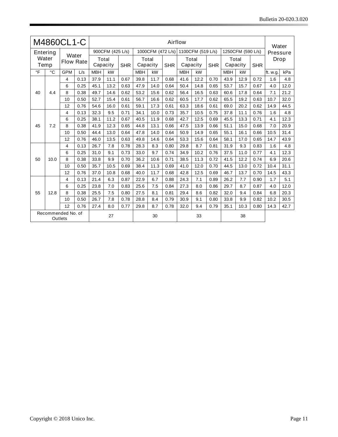|           |                                     | M4860CL1-C |                  |            |                   |            |            |       | Airflow           |                   |       |            |            |                   |            | Water    |          |
|-----------|-------------------------------------|------------|------------------|------------|-------------------|------------|------------|-------|-------------------|-------------------|-------|------------|------------|-------------------|------------|----------|----------|
|           | Entering                            |            | Water            |            | 900CFM (425 L/s)  |            |            |       | 1000CFM (472 L/s) | 1100CFM (519 L/s) |       |            |            | 1250CFM (590 L/s) |            |          | Pressure |
|           | Water<br>Temp                       |            | <b>Flow Rate</b> |            | Total<br>Capacity | <b>SHR</b> | Capacity   | Total | <b>SHR</b>        | Capacity          | Total | <b>SHR</b> |            | Total<br>Capacity | <b>SHR</b> | Drop     |          |
| $\circ$ F | °C                                  | <b>GPM</b> | L/s              | <b>MBH</b> | kW                |            | <b>MBH</b> | kW    |                   | <b>MBH</b>        | kW    |            | <b>MBH</b> | kW                |            | ft. w.g. | kPa      |
|           |                                     | 4          | 0.13             | 37.9       | 11.1              | 0.67       | 39.8       | 11.7  | 0.68              | 41.6              | 12.2  | 0.70       | 43.9       | 12.9              | 0.72       | 1.6      | 4.8      |
|           |                                     | 6          | 0.25             | 45.1       | 13.2              | 0.63       | 47.9       | 14.0  | 0.64              | 50.4              | 14.8  | 0.65       | 53.7       | 15.7              | 0.67       | 4.0      | 12.0     |
| 40        | 4.4                                 | 8          | 0.38             | 49.7       | 14.6              | 0.62       | 53.2       | 15.6  | 0.62              | 56.4              | 16.5  | 0.63       | 60.6       | 17.8              | 0.64       | 7.1      | 21.2     |
|           |                                     | 10         | 0.50             | 52.7       | 15.4              | 0.61       | 56.7       | 16.6  | 0.62              | 60.5              | 17.7  | 0.62       | 65.5       | 19.2              | 0.63       | 10.7     | 32.0     |
|           |                                     | 12         | 0.76             | 54.6       | 16.0              | 0.61       | 59.1       | 17.3  | 0.61              | 63.3              | 18.6  | 0.61       | 69.0       | 20.2              | 0.62       | 14.9     | 44.5     |
|           |                                     | 4          | 0.13             | 32.3       | 9.5               | 0.71       | 34.1       | 10.0  | 0.73              | 35.7              | 10.5  | 0.75       | 37.8       | 11.1              | 0.76       | 1.6      | 4.8      |
|           |                                     | 6          | 0.25             | 38.1       | 11.2              | 0.67       | 40.5       | 11.9  | 0.68              | 42.7              | 12.5  | 0.69       | 45.5       | 13.3              | 0.71       | 4.1      | 12.3     |
| 45        | 7.2                                 | 8          | 0.38             | 41.9       | 12.3              | 0.65       | 44.8       | 13.1  | 0.66              | 47.5              | 13.9  | 0.66       | 51.1       | 15.0              | 0.68       | 7.0      | 20.9     |
|           |                                     | 10         | 0.50             | 44.4       | 13.0              | 0.64       | 47.8       | 14.0  | 0.64              | 50.9              | 14.9  | 0.65       | 55.1       | 16.1              | 0.66       | 10.5     | 31.4     |
|           |                                     | 12         | 0.76             | 46.0       | 13.5              | 0.63       | 49.8       | 14.6  | 0.64              | 53.3              | 15.6  | 0.64       | 58.1       | 17.0              | 0.65       | 14.7     | 43.9     |
|           |                                     | 4          | 0.13             | 26.7       | 7.8               | 0.78       | 28.3       | 8.3   | 0.80              | 29.8              | 8.7   | 0.81       | 31.9       | 9.3               | 0.83       | 1.6      | 4.8      |
|           |                                     | 6          | 0.25             | 31.0       | 9.1               | 0.73       | 33.0       | 9.7   | 0.74              | 34.9              | 10.2  | 0.76       | 37.5       | 11.0              | 0.77       | 4.1      | 12.3     |
| 50        | 10.0                                | 8          | 0.38             | 33.8       | 9.9               | 0.70       | 36.2       | 10.6  | 0.71              | 38.5              | 11.3  | 0.72       | 41.5       | 12.2              | 0.74       | 6.9      | 20.6     |
|           |                                     | 10         | 0.50             | 35.7       | 10.5              | 0.69       | 38.4       | 11.3  | 0.69              | 41.0              | 12.0  | 0.70       | 44.5       | 13.0              | 0.72       | 10.4     | 31.1     |
|           |                                     | 12         | 0.76             | 37.0       | 10.8              | 0.68       | 40.0       | 11.7  | 0.68              | 42.8              | 12.5  | 0.69       | 46.7       | 13.7              | 0.70       | 14.5     | 43.3     |
|           |                                     | 4          | 0.13             | 21.4       | 6.3               | 0.87       | 22.9       | 6.7   | 0.88              | 24.3              | 7.1   | 0.89       | 26.2       | 7.7               | 0.90       | 1.7      | 5.1      |
|           |                                     | 6          | 0.25             | 23.8       | 7.0               | 0.83       | 25.6       | 7.5   | 0.84              | 27.3              | 8.0   | 0.86       | 29.7       | 8.7               | 0.87       | 4.0      | 12.0     |
| 55        | 12.8                                | 8          | 0.38             | 25.5       | 7.5               | 0.80       | 27.5       | 8.1   | 0.81              | 29.4              | 8.6   | 0.82       | 32.0       | 9.4               | 0.84       | 6.8      | 20.3     |
|           |                                     | 10         | 0.50             | 26.7       | 7.8               | 0.78       | 28.8       | 8.4   | 0.79              | 30.9              | 9.1   | 0.80       | 33.8       | 9.9               | 0.82       | 10.2     | 30.5     |
|           |                                     |            | 0.76             | 27.4       | 8.0               | 0.77       | 29.8       | 8.7   | 0.78              | 32.0              | 9.4   | 0.79       | 35.1       | 10.3              | 0.80       | 14.3     | 42.7     |
|           | 12<br>Recommended No. of<br>Outlets |            |                  |            | 27                |            |            | 30    |                   |                   | 33    |            |            | 38                |            |          |          |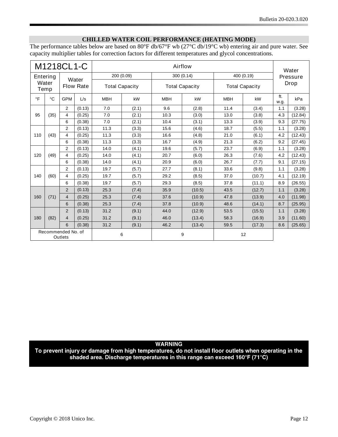#### <span id="page-11-0"></span>**CHILLED WATER COIL PERFORMANCE (HEATING MODE)**

The performance tables below are based on 80°F db/67°F wb (27°C db/19°C wb) entering air and pure water. See capacity multiplier tables for correction factors for different temperatures and glycol concentrations.

|             |               | M1218CL1-C                    |                  |            |                       |            | Airflow               |            |                       |             | Water    |
|-------------|---------------|-------------------------------|------------------|------------|-----------------------|------------|-----------------------|------------|-----------------------|-------------|----------|
|             | Entering      |                               | Water            |            | 200 (0.09)            |            | 300 (0.14)            |            | 400 (0.19)            |             | Pressure |
|             | Water<br>Temp |                               | <b>Flow Rate</b> |            | <b>Total Capacity</b> |            | <b>Total Capacity</b> |            | <b>Total Capacity</b> |             | Drop     |
| $\circ$ F   | °C            | <b>GPM</b>                    | L/s              | <b>MBH</b> | kW                    | <b>MBH</b> | kW                    | <b>MBH</b> | kW                    | ft.<br>w.g. | kPa      |
|             |               | $\overline{2}$                | (0.13)           | 7.0        | (2.1)                 | 9.6        | (2.8)                 | 11.4       | (3.4)                 | 1.1         | (3.28)   |
| 95          | (35)          | 4                             | (0.25)           | 7.0        | (2.1)                 | 10.3       | (3.0)                 | 13.0       | (3.8)                 | 4.3         | (12.84)  |
|             |               | 6                             | (0.38)           | 7.0        | (2.1)                 | 10.4       | (3.1)                 | 13.3       | (3.9)                 | 9.3         | (27.75)  |
|             |               | $\overline{2}$                | (0.13)           | 11.3       | (3.3)                 | 15.6       | (4.6)                 | 18.7       | (5.5)                 | 1.1         | (3.28)   |
| 110         | (43)          | 4                             | (0.25)           | 11.3       | (3.3)                 | 16.6       | (4.8)                 | 21.0       | (6.1)                 | 4.2         | (12.43)  |
|             |               | 6                             | (0.38)           | 11.3       | (3.3)                 | 16.7       | (4.9)                 | 21.3       | (6.2)                 | 9.2         | (27.45)  |
|             |               | 2                             | (0.13)           | 14.0       | (4.1)                 | 19.6       | (5.7)                 | 23.7       | (6.9)                 | 1.1         | (3.28)   |
| 120         | (49)          | 4                             | (0.25)           | 14.0       | (4.1)                 | 20.7       | (6.0)                 | 26.3       | (7.6)                 | 4.2         | (12.43)  |
|             |               | 6                             | (0.38)           | 14.0       | (4.1)                 | 20.9       | (6.0)                 | 26.7       | (7.7)                 | 9.1         | (27.15)  |
|             |               | $\overline{2}$                | (0.13)           | 19.7       | (5.7)                 | 27.7       | (8.1)                 | 33.6       | (9.8)                 | 1.1         | (3.28)   |
| 140         | (60)          | 4                             | (0.25)           | 19.7       | (5.7)                 | 29.2       | (8.5)                 | 37.0       | (10.7)                | 4.1         | (12.19)  |
|             |               | 6                             | (0.38)           | 19.7       | (5.7)                 | 29.3       | (8.5)                 | 37.8       | (11.1)                | 8.9         | (26.55)  |
|             |               | 2                             | (0.13)           | 25.3       | (7.4)                 | 35.9       | (10.5)                | 43.5       | (12.7)                | 1.1         | (3.28)   |
| 160         | (71)          | 4                             | (0.25)           | 25.3       | (7.4)                 | 37.6       | (10.9)                | 47.8       | (13.9)                | 4.0         | (11.98)  |
|             |               | 6                             | (0.38)           | 25.3       | (7.4)                 | 37.8       | (10.9)                | 48.6       | (14.1)                | 8.7         | (25.95)  |
|             | 2             |                               | (0.13)           | 31.2       | (9.1)                 | 44.0       | (12.9)                | 53.5       | (15.5)                | 1.1         | (3.28)   |
| (82)<br>180 |               | 4                             | (0.25)           | 31.2       | (9.1)                 | 46.0       | (13.4)                | 58.3       | (16.9)                | 3.9         | (11.60)  |
|             |               | 6                             | (0.38)           | 31.2       | (9.1)                 | 46.2       | (13.4)                | 59.5       | (17.3)                | 8.6         | (25.65)  |
|             |               | Recommended No. of<br>Outlets |                  |            | 6                     |            | 9                     |            | 12                    |             |          |

### **WARNING**

To prevent injury or damage from high temperatures, do not install floor outlets when operating in the shaded area. Discharge temperatures in this range can exceed 160°F (71°C)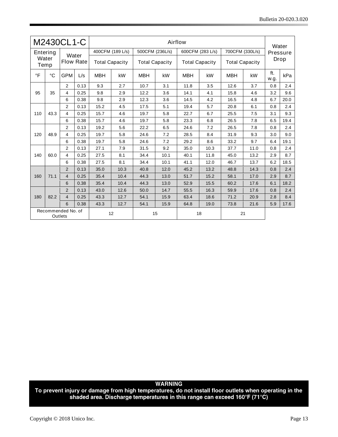| M2430CL1-C                    |      |                           | Airflow |                                           |      |                                          |      |                                           |      |                                          | Water |                  |      |
|-------------------------------|------|---------------------------|---------|-------------------------------------------|------|------------------------------------------|------|-------------------------------------------|------|------------------------------------------|-------|------------------|------|
| Entering<br>Water<br>Temp     |      | Water<br><b>Flow Rate</b> |         | 400CFM (189 L/s)<br><b>Total Capacity</b> |      | 500CFM (236L/s)<br><b>Total Capacity</b> |      | 600CFM (283 L/s)<br><b>Total Capacity</b> |      | 700CFM (330L/s)<br><b>Total Capacity</b> |       | Pressure<br>Drop |      |
|                               |      |                           |         |                                           |      |                                          |      |                                           |      |                                          |       |                  |      |
|                               |      | 2                         | 0.13    | 9.3                                       | 2.7  | 10.7                                     | 3.1  | 11.8                                      | 3.5  | 12.6                                     | 3.7   | 0.8              | 2.4  |
| 95                            | 35   | 4                         | 0.25    | 9.8                                       | 2.9  | 12.2                                     | 3.6  | 14.1                                      | 4.1  | 15.8                                     | 4.6   | 3.2              | 9.6  |
|                               |      | 6                         | 0.38    | 9.8                                       | 2.9  | 12.3                                     | 3.6  | 14.5                                      | 4.2  | 16.5                                     | 4.8   | 6.7              | 20.0 |
|                               | 43.3 | $\overline{2}$            | 0.13    | 15.2                                      | 4.5  | 17.5                                     | 5.1  | 19.4                                      | 5.7  | 20.8                                     | 6.1   | 0.8              | 2.4  |
| 110                           |      | 4                         | 0.25    | 15.7                                      | 4.6  | 19.7                                     | 5.8  | 22.7                                      | 6.7  | 25.5                                     | 7.5   | 3.1              | 9.3  |
|                               |      | 6                         | 0.38    | 15.7                                      | 4.6  | 19.7                                     | 5.8  | 23.3                                      | 6.8  | 26.5                                     | 7.8   | 6.5              | 19.4 |
|                               | 48.9 | 2                         | 0.13    | 19.2                                      | 5.6  | 22.2                                     | 6.5  | 24.6                                      | 7.2  | 26.5                                     | 7.8   | 0.8              | 2.4  |
| 120                           |      | 4                         | 0.25    | 19.7                                      | 5.8  | 24.6                                     | 7.2  | 28.5                                      | 8.4  | 31.9                                     | 9.3   | 3.0              | 9.0  |
|                               |      | 6                         | 0.38    | 19.7                                      | 5.8  | 24.6                                     | 7.2  | 29.2                                      | 8.6  | 33.2                                     | 9.7   | 6.4              | 19.1 |
|                               |      | $\overline{2}$            | 0.13    | 27.1                                      | 7.9  | 31.5                                     | 9.2  | 35.0                                      | 10.3 | 37.7                                     | 11.0  | 0.8              | 2.4  |
| 140                           | 60.0 | 4                         | 0.25    | 27.5                                      | 8.1  | 34.4                                     | 10.1 | 40.1                                      | 11.8 | 45.0                                     | 13.2  | 2.9              | 8.7  |
|                               |      | 6                         | 0.38    | 27.5                                      | 8.1  | 34.4                                     | 10.1 | 41.1                                      | 12.0 | 46.7                                     | 13.7  | 6.2              | 18.5 |
|                               |      | 2                         | 0.13    | 35.0                                      | 10.3 | 40.8                                     | 12.0 | 45.2                                      | 13.2 | 48.8                                     | 14.3  | 0.8              | 2.4  |
| 160                           | 71.1 | 4                         | 0.25    | 35.4                                      | 10.4 | 44.3                                     | 13.0 | 51.7                                      | 15.2 | 58.1                                     | 17.0  | 2.9              | 8.7  |
|                               |      | 6                         | 0.38    | 35.4                                      | 10.4 | 44.3                                     | 13.0 | 52.9                                      | 15.5 | 60.2                                     | 17.6  | 6.1              | 18.2 |
|                               |      | $\overline{2}$            | 0.13    | 43.0                                      | 12.6 | 50.0                                     | 14.7 | 55.5                                      | 16.3 | 59.9                                     | 17.6  | 0.8              | 2.4  |
| 180                           | 82.2 | $\overline{4}$            | 0.25    | 43.3                                      | 12.7 | 54.1                                     | 15.9 | 63.4                                      | 18.6 | 71.2                                     | 20.9  | 2.8              | 8.4  |
|                               |      | 6                         | 0.38    | 43.3                                      | 12.7 | 54.1                                     | 15.9 | 64.8                                      | 19.0 | 73.8                                     | 21.6  | 5.9              | 17.6 |
| Recommended No. of<br>Outlets |      |                           | 12      |                                           | 15   |                                          | 18   |                                           | 21   |                                          |       |                  |      |

WARNING<br>To prevent injury or damage from high temperatures, do not install floor outlets when operating in the<br>shaded area. Discharge temperatures in this range can exceed 160°F (71°C)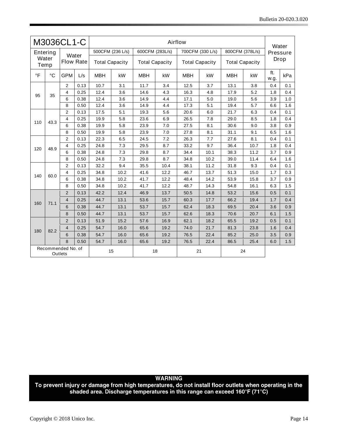| M3036CL1-C                    |             |                           |      | Airflow               |      |                       |      |                       |      |                       |      |                   |     |
|-------------------------------|-------------|---------------------------|------|-----------------------|------|-----------------------|------|-----------------------|------|-----------------------|------|-------------------|-----|
|                               | Entering    |                           |      | 500CFM (236 L/s)      |      | 600CFM (283L/s)       |      | 700CFM (330 L/s)      |      | 800CFM (378L/s)       |      | Water<br>Pressure |     |
| Water<br>Temp                 |             | Water<br><b>Flow Rate</b> |      | <b>Total Capacity</b> |      | <b>Total Capacity</b> |      | <b>Total Capacity</b> |      | <b>Total Capacity</b> |      | Drop              |     |
| $\circ$ F                     | $^{\circ}C$ | <b>GPM</b>                | L/s  | <b>MBH</b>            | kW   | <b>MBH</b>            | kW   | <b>MBH</b>            | kW   | <b>MBH</b>            | kW   | ft.<br>w.g.       | kPa |
|                               |             | $\overline{2}$            | 0.13 | 10.7                  | 3.1  | 11.7                  | 3.4  | 12.5                  | 3.7  | 13.1                  | 3.8  | 0.4               | 0.1 |
| 95                            | 35          | 4                         | 0.25 | 12.4                  | 3.6  | 14.6                  | 4.3  | 16.3                  | 4.8  | 17.9                  | 5.2  | 1.8               | 0.4 |
|                               |             | 6                         | 0.38 | 12.4                  | 3.6  | 14.9                  | 4.4  | 17.1                  | 5.0  | 19.0                  | 5.6  | 3.9               | 1.0 |
|                               |             | 8                         | 0.50 | 12.4                  | 3.6  | 14.9                  | 4.4  | 17.3                  | 5.1  | 19.4                  | 5.7  | 6.6               | 1.6 |
|                               |             | $\overline{2}$            | 0.13 | 17.5                  | 5.1  | 19.3                  | 5.6  | 20.6                  | 6.0  | 21.7                  | 6.3  | 0.4               | 0.1 |
|                               | 43.3        | 4                         | 0.25 | 19.9                  | 5.8  | 23.6                  | 6.9  | 26.5                  | 7.8  | 29.0                  | 8.5  | 1.8               | 0.4 |
| 110                           |             | 6                         | 0.38 | 19.9                  | 5.8  | 23.9                  | 7.0  | 27.5                  | 8.1  | 30.6                  | 9.0  | 3.8               | 0.9 |
|                               |             | 8                         | 0.50 | 19.9                  | 5.8  | 23.9                  | 7.0  | 27.8                  | 8.1  | 31.1                  | 9.1  | 6.5               | 1.6 |
|                               | 48.9        | $\overline{2}$            | 0.13 | 22.3                  | 6.5  | 24.5                  | 7.2  | 26.3                  | 7.7  | 27.6                  | 8.1  | 0.4               | 0.1 |
| 120                           |             | $\overline{4}$            | 0.25 | 24.8                  | 7.3  | 29.5                  | 8.7  | 33.2                  | 9.7  | 36.4                  | 10.7 | 1.8               | 0.4 |
|                               |             | 6                         | 0.38 | 24.8                  | 7.3  | 29.8                  | 8.7  | 34.4                  | 10.1 | 38.3                  | 11.2 | 3.7               | 0.9 |
|                               |             | 8                         | 0.50 | 24.8                  | 7.3  | 29.8                  | 8.7  | 34.8                  | 10.2 | 39.0                  | 11.4 | 6.4               | 1.6 |
|                               | 60.0        | $\overline{2}$            | 0.13 | 32.2                  | 9.4  | 35.5                  | 10.4 | 38.1                  | 11.2 | 31.8                  | 9.3  | 0.4               | 0.1 |
| 140                           |             | $\overline{4}$            | 0.25 | 34.8                  | 10.2 | 41.6                  | 12.2 | 46.7                  | 13.7 | 51.3                  | 15.0 | 1.7               | 0.3 |
|                               |             | 6                         | 0.38 | 34.8                  | 10.2 | 41.7                  | 12.2 | 48.4                  | 14.2 | 53.9                  | 15.8 | 3.7               | 0.9 |
|                               |             | 8                         | 0.50 | 34.8                  | 10.2 | 41.7                  | 12.2 | 48.7                  | 14.3 | 54.8                  | 16.1 | 6.3               | 1.5 |
|                               |             | 2                         | 0.13 | 42.2                  | 12.4 | 46.9                  | 13.7 | 50.5                  | 14.8 | 53.2                  | 15.6 | 0.5               | 0.1 |
|                               |             | $\overline{4}$            | 0.25 | 44.7                  | 13.1 | 53.6                  | 15.7 | 60.3                  | 17.7 | 66.2                  | 19.4 | 1.7               | 0.4 |
| 160                           | 71.1        | 6                         | 0.38 | 44.7                  | 13.1 | 53.7                  | 15.7 | 62.4                  | 18.3 | 69.5                  | 20.4 | 3.6               | 0.9 |
|                               |             | 8                         | 0.50 | 44.7                  | 13.1 | 53.7                  | 15.7 | 62.6                  | 18.3 | 70.6                  | 20.7 | 6.1               | 1.5 |
|                               |             | 2                         | 0.13 | 51.9                  | 15.2 | 57.6                  | 16.9 | 62.1                  | 18.2 | 65.5                  | 19.2 | 0.5               | 0.1 |
|                               |             | $\overline{4}$            | 0.25 | 54.7                  | 16.0 | 65.6                  | 19.2 | 74.0                  | 21.7 | 81.3                  | 23.8 | 1.6               | 0.4 |
| 180                           | 82.2        | 6                         | 0.38 | 54.7                  | 16.0 | 65.6                  | 19.2 | 76.5                  | 22.4 | 85.2                  | 25.0 | 3.5               | 0.9 |
|                               |             | 8                         | 0.50 | 54.7                  | 16.0 | 65.6                  | 19.2 | 76.5                  | 22.4 | 86.5                  | 25.4 | 6.0               | 1.5 |
| Recommended No. of<br>Outlets |             |                           | 15   |                       | 18   |                       | 21   |                       | 24   |                       |      |                   |     |

**WARNING** 

To prevent injury or damage from high temperatures, do not install floor outlets when operating in the<br>shaded area. Discharge temperatures in this range can exceed 160°F (71°C)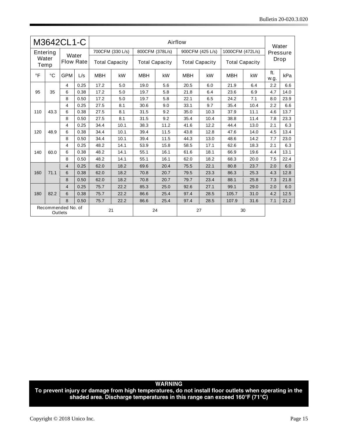| M3642CL1-C                    |             |                           |      | Airflow               |      |                       |      |                       |      |                       |      | Water            |      |
|-------------------------------|-------------|---------------------------|------|-----------------------|------|-----------------------|------|-----------------------|------|-----------------------|------|------------------|------|
| Entering<br>Water<br>Temp     |             | Water<br><b>Flow Rate</b> |      | 700CFM (330 L/s)      |      | 800CFM (378L/s)       |      | 900CFM (425 L/s)      |      | 1000CFM (472L/s)      |      | Pressure<br>Drop |      |
|                               |             |                           |      | <b>Total Capacity</b> |      | <b>Total Capacity</b> |      | <b>Total Capacity</b> |      | <b>Total Capacity</b> |      |                  |      |
| $\circ$ F                     | $^{\circ}C$ | <b>GPM</b>                | L/s  | <b>MBH</b>            | kW   | <b>MBH</b>            | kW   | <b>MBH</b>            | kW   | <b>MBH</b>            | kW   | ft.<br>w.g.      | kPa  |
|                               |             | 4                         | 0.25 | 17.2                  | 5.0  | 19.0                  | 5.6  | 20.5                  | 6.0  | 21.9                  | 6.4  | 2.2              | 6.6  |
| 95                            | 35          | 6                         | 0.38 | 17.2                  | 5.0  | 19.7                  | 5.8  | 21.8                  | 6.4  | 23.6                  | 6.9  | 4.7              | 14.0 |
|                               |             | 8                         | 0.50 | 17.2                  | 5.0  | 19.7                  | 5.8  | 22.1                  | 6.5  | 24.2                  | 7.1  | 8.0              | 23.9 |
|                               |             | 4                         | 0.25 | 27.5                  | 8.1  | 30.6                  | 9.0  | 33.1                  | 9.7  | 35.4                  | 10.4 | 2.2              | 6.6  |
| 110                           | 43.3        | 6                         | 0.38 | 27.5                  | 8.1  | 31.5                  | 9.2  | 35.0                  | 10.3 | 37.9                  | 11.1 | 4.6              | 13.7 |
|                               |             | 8                         | 0.50 | 27.5                  | 8.1  | 31.5                  | 9.2  | 35.4                  | 10.4 | 38.8                  | 11.4 | 7.8              | 23.3 |
|                               | 48.9        | 4                         | 0.25 | 34.4                  | 10.1 | 38.3                  | 11.2 | 41.6                  | 12.2 | 44.4                  | 13.0 | 2.1              | 6.3  |
| 120                           |             | 6                         | 0.38 | 34.4                  | 10.1 | 39.4                  | 11.5 | 43.8                  | 12.8 | 47.6                  | 14.0 | 4.5              | 13.4 |
|                               |             | 8                         | 0.50 | 34.4                  | 10.1 | 39.4                  | 11.5 | 44.3                  | 13.0 | 48.6                  | 14.2 | 7.7              | 23.0 |
|                               | 60.0        | 4                         | 0.25 | 48.2                  | 14.1 | 53.9                  | 15.8 | 58.5                  | 17.1 | 62.6                  | 18.3 | 2.1              | 6.3  |
| 140                           |             | 6                         | 0.38 | 48.2                  | 14.1 | 55.1                  | 16.1 | 61.6                  | 18.1 | 66.9                  | 19.6 | 4.4              | 13.1 |
|                               |             | 8                         | 0.50 | 48.2                  | 14.1 | 55.1                  | 16.1 | 62.0                  | 18.2 | 68.3                  | 20.0 | 7.5              | 22.4 |
|                               |             | $\overline{4}$            | 0.25 | 62.0                  | 18.2 | 69.6                  | 20.4 | 75.5                  | 22.1 | 80.8                  | 23.7 | 2.0              | 6.0  |
| 160                           | 71.1        | 6                         | 0.38 | 62.0                  | 18.2 | 70.8                  | 20.7 | 79.5                  | 23.3 | 86.3                  | 25.3 | 4.3              | 12.8 |
|                               |             | 8                         | 0.50 | 62.0                  | 18.2 | 70.8                  | 20.7 | 79.7                  | 23.4 | 88.1                  | 25.8 | 7.3              | 21.8 |
|                               |             | $\overline{4}$            | 0.25 | 75.7                  | 22.2 | 85.3                  | 25.0 | 92.6                  | 27.1 | 99.1                  | 29.0 | 2.0              | 6.0  |
| 180                           | 82.2        | 6                         | 0.38 | 75.7                  | 22.2 | 86.6                  | 25.4 | 97.4                  | 28.5 | 105.7                 | 31.0 | 4.2              | 12.5 |
|                               |             | 8                         | 0.50 | 75.7                  | 22.2 | 86.6                  | 25.4 | 97.4                  | 28.5 | 107.9                 | 31.6 | 7.1              | 21.2 |
| Recommended No. of<br>Outlets |             |                           | 21   |                       | 24   |                       | 27   |                       | 30   |                       |      |                  |      |

WARNING<br>To prevent injury or damage from high temperatures, do not install floor outlets when operating in the<br>shaded area. Discharge temperatures in this range can exceed 160°F (71°C)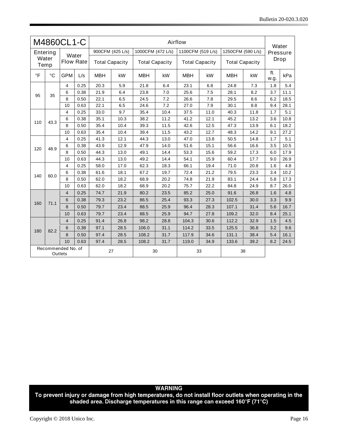| M4860CL1-C                    |             |                           | Airflow |                       |                  |                       |                                        |                       |                   |                       | Water    |             |      |
|-------------------------------|-------------|---------------------------|---------|-----------------------|------------------|-----------------------|----------------------------------------|-----------------------|-------------------|-----------------------|----------|-------------|------|
|                               | Entering    |                           |         |                       | 900CFM (425 L/s) |                       | 1000CFM (472 L/s)<br>1100CFM (519 L/s) |                       | 1250CFM (590 L/s) |                       | Pressure |             |      |
| Water<br>Temp                 |             | Water<br><b>Flow Rate</b> |         | <b>Total Capacity</b> |                  | <b>Total Capacity</b> |                                        | <b>Total Capacity</b> |                   | <b>Total Capacity</b> |          | Drop        |      |
| $\circ$ F                     | $^{\circ}C$ | <b>GPM</b>                | L/s     | <b>MBH</b>            | kW               | <b>MBH</b>            | kW                                     | <b>MBH</b>            | kW                | <b>MBH</b>            | kW       | ft.<br>w.g. | kPa  |
|                               |             | 4                         | 0.25    | 20.3                  | 5.9              | 21.8                  | 6.4                                    | 23.1                  | 6.8               | 24.8                  | 7.3      | 1.8         | 5.4  |
| 95                            | 35          | 6                         | 0.38    | 21.9                  | 6.4              | 23.8                  | 7.0                                    | 25.6                  | 7.5               | 28.1                  | 8.2      | 3.7         | 11.1 |
|                               |             | 8                         | 0.50    | 22.1                  | 6.5              | 24.5                  | 7.2                                    | 26.6                  | 7.8               | 29.5                  | 8.6      | 6.2         | 18.5 |
|                               |             | 10                        | 0.63    | 22.1                  | 6.5              | 24.6                  | 7.2                                    | 27.0                  | 7.9               | 30.1                  | 8.8      | 9.4         | 28.1 |
|                               |             | 4                         | 0.25    | 33.0                  | 9.7              | 35.4                  | 10.4                                   | 37.5                  | 11.0              | 40.3                  | 11.8     | 1.7         | 5.1  |
|                               | 43.3        | 6                         | 0.38    | 35.1                  | 10.3             | 38.2                  | 11.2                                   | 41.2                  | 12.1              | 45.2                  | 13.2     | 3.6         | 10.8 |
| 110                           |             | 8                         | 0.50    | 35.4                  | 10.4             | 39.3                  | 11.5                                   | 42.6                  | 12.5              | 47.3                  | 13.9     | 6.1         | 18.2 |
|                               |             | 10                        | 0.63    | 35.4                  | 10.4             | 39.4                  | 11.5                                   | 43.2                  | 12.7              | 48.3                  | 14.2     | 9.1         | 27.2 |
|                               | 48.9        | 4                         | 0.25    | 41.3                  | 12.1             | 44.3                  | 13.0                                   | 47.0                  | 13.8              | 50.5                  | 14.8     | 1.7         | 5.1  |
| 120                           |             | 6                         | 0.38    | 43.9                  | 12.9             | 47.9                  | 14.0                                   | 51.6                  | 15.1              | 56.6                  | 16.6     | 3.5         | 10.5 |
|                               |             | 8                         | 0.50    | 44.3                  | 13.0             | 49.1                  | 14.4                                   | 53.3                  | 15.6              | 59.2                  | 17.3     | 6.0         | 17.9 |
|                               |             | 10                        | 0.63    | 44.3                  | 13.0             | 49.2                  | 14.4                                   | 54.1                  | 15.9              | 60.4                  | 17.7     | 9.0         | 26.9 |
|                               |             | 4                         | 0.25    | 58.0                  | 17.0             | 62.3                  | 18.3                                   | 66.1                  | 19.4              | 71.0                  | 20.8     | 1.6         | 4.8  |
| 140                           |             | 6                         | 0.38    | 61.6                  | 18.1             | 67.2                  | 19.7                                   | 72.4                  | 21.2              | 79.5                  | 23.3     | 3.4         | 10.2 |
|                               | 60.0        | 8                         | 0.50    | 62.0                  | 18.2             | 68.9                  | 20.2                                   | 74.8                  | 21.9              | 83.1                  | 24.4     | 5.8         | 17.3 |
|                               |             | 10                        | 0.63    | 62.0                  | 18.2             | 68.9                  | 20.2                                   | 75.7                  | 22.2              | 84.8                  | 24.9     | 8.7         | 26.0 |
|                               |             | $\overline{4}$            | 0.25    | 74.7                  | 21.9             | 80.2                  | 23.5                                   | 85.2                  | 25.0              | 91.6                  | 26.8     | 1.6         | 4.8  |
|                               |             | 6                         | 0.38    | 79.3                  | 23.2             | 86.5                  | 25.4                                   | 93.3                  | 27.3              | 102.5                 | 30.0     | 3.3         | 9.9  |
| 160                           | 71.1        | 8                         | 0.50    | 79.7                  | 23.4             | 88.5                  | 25.9                                   | 96.4                  | 28.3              | 107.1                 | 31.4     | 5.6         | 16.7 |
|                               |             | 10                        | 0.63    | 79.7                  | 23.4             | 88.5                  | 25.9                                   | 94.7                  | 27.8              | 109.2                 | 32.0     | 8.4         | 25.1 |
|                               |             | $\overline{4}$            | 0.25    | 91.4                  | 26.8             | 98.2                  | 28.8                                   | 104.3                 | 30.6              | 112.2                 | 32.9     | 1.5         | 4.5  |
|                               |             | 6                         | 0.38    | 97.1                  | 28.5             | 106.0                 | 31.1                                   | 114.2                 | 33.5              | 125.5                 | 36.8     | 3.2         | 9.6  |
| 180                           | 82.2        | 8                         | 0.50    | 97.4                  | 28.5             | 108.2                 | 31.7                                   | 117.9                 | 34.6              | 131.1                 | 38.4     | 5.4         | 16.1 |
|                               |             | 10                        | 0.63    | 97.4                  | 28.5             | 108.2                 | 31.7                                   | 119.0                 | 34.9              | 133.6                 | 39.2     | 8.2         | 24.5 |
| Recommended No. of<br>Outlets |             |                           | 27      |                       | 30               |                       | 33                                     |                       | 38                |                       |          |             |      |

## **WARNING**

To prevent injury or damage from high temperatures, do not install floor outlets when operating in the shaded area. Discharge temperatures in this range can exceed 160°F (71°C)